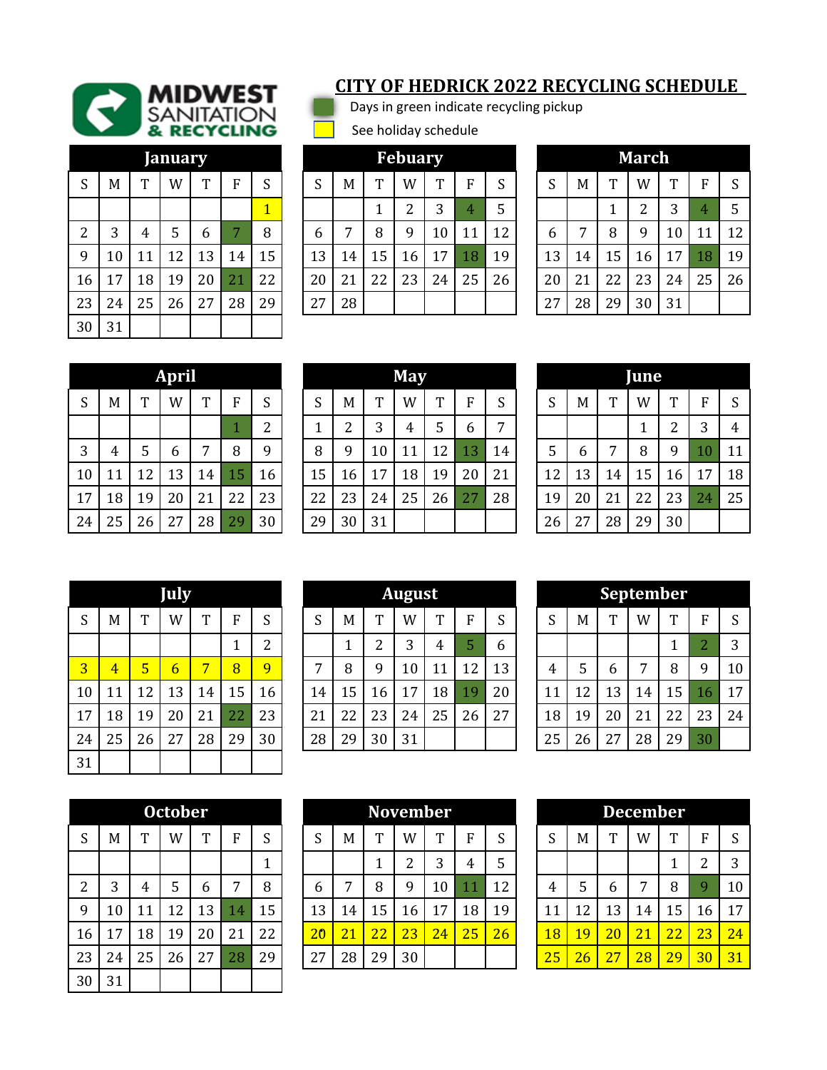

| anuary         |    |    |    |    |    |    |  |  |  |  |  |  |  |
|----------------|----|----|----|----|----|----|--|--|--|--|--|--|--|
| S              | M  | T  | W  | T  | F  | S  |  |  |  |  |  |  |  |
|                |    |    |    |    |    | 1  |  |  |  |  |  |  |  |
| $\overline{2}$ | 3  | 4  | 5  | 6  | 7  | 8  |  |  |  |  |  |  |  |
| 9              | 10 | 11 | 12 | 13 | 14 | 15 |  |  |  |  |  |  |  |
| 16             | 17 | 18 | 19 | 20 | 21 | 22 |  |  |  |  |  |  |  |
| 23             | 24 | 25 | 26 | 27 | 28 | 29 |  |  |  |  |  |  |  |
| 30             | 31 |    |    |    |    |    |  |  |  |  |  |  |  |

## **CITY OF HEDRICK 2022 RECYCLING SCHEDULE**

Days in green indicate recycling pickup

See holiday schedule

|                 |     |    | <b>January</b> |    |    |                |        |    |    | <b>Febuary</b> |    |    |    |    |    |    | <b>March</b> |    |    |    |
|-----------------|-----|----|----------------|----|----|----------------|--------|----|----|----------------|----|----|----|----|----|----|--------------|----|----|----|
| S               | M   | m  | W              | m  | R  | S              | C<br>د | M  | T  | W              | m  | F  | S  | S  | M  | T  | W            | m  | F  | S  |
|                 |     |    |                |    |    | $\overline{1}$ |        |    |    | ∍              | 3  | 4  | 5  |    |    | ◢  | ົ            | 3  | 4  | 5  |
| $\overline{2}$  | 3   | 4  | 5              | 6  |    | 8              | 6      | 7  | 8  | q              | 10 | 11 | 12 | 6  | ⇁  | 8  | q            | 10 | 11 | 12 |
| 9               | 10  | 11 | $\overline{2}$ | 13 | 14 | 15             | 13     | 14 | 15 | 16             | 17 | 18 | 19 | 13 | 14 | 15 | 16           | 17 | 18 | 19 |
| 16              | 17  | 18 | 19             | 20 | 21 | 22             | 20     | 21 | 22 | 23             | 24 | 25 | 26 | 20 | 21 | 22 | 23           | 24 | 25 | 26 |
| 23              | 24  | 25 | 26             | 27 | 28 | 29             | 27     | 28 |    |                |    |    |    | 27 | 28 | 29 | 30           | 31 |    |    |
| $\sim$ $\sim$ 1 | 0.4 |    |                |    |    |                |        |    |    |                |    |    |    |    |    |    |              |    |    |    |

| March            |    |    |                |    |    |    |  |  |  |  |  |  |  |
|------------------|----|----|----------------|----|----|----|--|--|--|--|--|--|--|
| $\boldsymbol{S}$ | M  | T  | W              | T  | F  | S  |  |  |  |  |  |  |  |
|                  |    | 1  | $\overline{2}$ | 3  | 4  | 5  |  |  |  |  |  |  |  |
| 6                | 7  | 8  | 9              | 10 | 11 | 12 |  |  |  |  |  |  |  |
| 13               | 14 | 15 | 16             | 17 | 18 | 19 |  |  |  |  |  |  |  |
| 20               | 21 | 22 | 23             | 24 | 25 | 26 |  |  |  |  |  |  |  |
| 27               | 28 | 29 | 30             | 31 |    |    |  |  |  |  |  |  |  |

|                  | April |    |    |    |    |    |  |  |  |  |  |  |  |  |
|------------------|-------|----|----|----|----|----|--|--|--|--|--|--|--|--|
| $\boldsymbol{S}$ | M     | T  | W  | T  | F  | S  |  |  |  |  |  |  |  |  |
|                  |       |    |    |    | 1  | 2  |  |  |  |  |  |  |  |  |
| 3                | 4     | 5  | 6  | 7  | 8  | 9  |  |  |  |  |  |  |  |  |
| 10               | 11    | 12 | 13 | 14 | 15 | 16 |  |  |  |  |  |  |  |  |
| 17               | 18    | 19 | 20 | 21 | 22 | 23 |  |  |  |  |  |  |  |  |
| 24               | 25    | 26 | 27 | 28 | 29 | 30 |  |  |  |  |  |  |  |  |

|        |                |    | <b>April</b> |    |    |               |        |    |    | <b>May</b> |    |    |    |    |    |    | June |        |    |    |
|--------|----------------|----|--------------|----|----|---------------|--------|----|----|------------|----|----|----|----|----|----|------|--------|----|----|
| S      | M              | m  | W            | m  | R  | S             | С<br>د | M  | T  | W          | m  | F  | S  | S  | M  | T  | W    | m      | F  | S  |
|        |                |    |              |    |    | $\mathcal{D}$ |        | っ  | 3  | 4          | 5  | 6  | ⇁  |    |    |    | 1    | າ<br>∠ | 3  | 4  |
| 3      | $\overline{4}$ | 5  | b            | ⇁  | 8  | 9             | 8      | 9  | 10 | 11         | 12 | 13 | 14 | 5  | b  | 7  | 8    | 9      | 10 | 11 |
| $10\,$ | 11             | 12 | 13           | 14 | 15 | 16            | 15     | 16 | 17 | 18         | 19 | 20 | 21 | 12 | 13 | 14 | 15   | 16     | 17 | 18 |
| 17     | 18             | 19 | 20           | 21 | 22 | 23            | 22     | 23 | 24 | 25         | 26 | 27 | 28 | 19 | 20 | 21 | 22   | 23     | 24 | 25 |
| 24     | 25             | 26 | 27           | 28 | 29 | 30            | 29     | 30 | 31 |            |    |    |    | 26 | 27 | 28 | 29   | 30     |    |    |

| ne |    |    |    |    |        |    |  |  |  |  |  |  |
|----|----|----|----|----|--------|----|--|--|--|--|--|--|
| S  | M  | T  | W  | T  | F      | S  |  |  |  |  |  |  |
|    |    |    | 1  | 2  | 3      | 4  |  |  |  |  |  |  |
| 5  | 6  | 7  | 8  | 9  | $10\,$ | 11 |  |  |  |  |  |  |
| 12 | 13 | 14 | 15 | 16 | 17     | 18 |  |  |  |  |  |  |
| 19 | 20 | 21 | 22 | 23 | 24     | 25 |  |  |  |  |  |  |
| 26 | 27 | 28 | 29 | 30 |        |    |  |  |  |  |  |  |

| S                       | M  | T  | W              | T  | F  | S              |  |  |  |  |  |  |  |  |
|-------------------------|----|----|----------------|----|----|----------------|--|--|--|--|--|--|--|--|
|                         |    |    |                |    | 1  | $\overline{c}$ |  |  |  |  |  |  |  |  |
| $\overline{\mathbf{3}}$ | 4  | 5  | $\overline{6}$ | 7  | 8  | 9              |  |  |  |  |  |  |  |  |
| 10                      | 11 | 12 | 13             | 14 | 15 | 16             |  |  |  |  |  |  |  |  |
| 17                      | 18 | 19 | 20             | 21 | 22 | 23             |  |  |  |  |  |  |  |  |
| 24                      | 25 | 26 | 27             | 28 | 29 | 30             |  |  |  |  |  |  |  |  |
| 31                      |    |    |                |    |    |                |  |  |  |  |  |  |  |  |

|    | <b>July</b><br>m |    |    |    |    |        |                |    |    | <b>August</b> |    |    |    |    |    |    |                | <b>September</b> |               |    |
|----|------------------|----|----|----|----|--------|----------------|----|----|---------------|----|----|----|----|----|----|----------------|------------------|---------------|----|
| S  | M                |    | W  | m  | п  | S      | C<br>د         | M  | T  | W             | m  | F  | S  | S  | M  | m, | W              | m                | F             | S  |
|    |                  |    |    |    |    | າ<br>▵ |                | ᅩ  | ∍  | 3             | 4  | 5  | 6  |    |    |    |                |                  | $\mathcal{D}$ | 3  |
| 3  | $\overline{4}$   | 5  | 6  | 7  | 8  | 9      | $\overline{ }$ | 8  | 9  | 10            | 11 | 12 | 13 | 4  | 5  | 6  | $\overline{ }$ | 8                | 9             | 10 |
| 10 | 11               | 12 | 13 | 14 | 15 | 16     | 14             | 15 | 16 | 17            | 18 | 19 | 20 | 11 | 12 | 13 | 14             | 15               | 16            | 17 |
| 17 | 18               | 19 | 20 | 21 | 22 | 23     | 21             | 22 | 23 | 24            | 25 | 26 | 27 | 18 | 19 | 20 | 21             | 22               | 23            | 24 |
| 24 | 25               | 26 | 27 | 28 | 29 | 30     | 28             | 29 | 30 | 31            |    |    |    | 25 | 26 | 27 | 28             | 29               | 30            |    |
|    |                  |    |    |    |    |        |                |    |    |               |    |    |    |    |    |    |                |                  |               |    |

| <b>September</b> |    |    |    |    |                |    |  |  |  |  |  |  |
|------------------|----|----|----|----|----------------|----|--|--|--|--|--|--|
| S                | M  | T  | W  | Т  | F              | S  |  |  |  |  |  |  |
|                  |    |    |    | 1  | $\overline{2}$ | 3  |  |  |  |  |  |  |
| $\overline{4}$   | 5  | 6  | 7  | 8  | 9              | 10 |  |  |  |  |  |  |
| 11               | 12 | 13 | 14 | 15 | 16             | 17 |  |  |  |  |  |  |
| 18               | 19 | 20 | 21 | 22 | 23             | 24 |  |  |  |  |  |  |
| 25               | 26 | 27 | 28 | 29 | 30             |    |  |  |  |  |  |  |

| October        |    |    |    |    |    |              |  |  |  |  |  |  |
|----------------|----|----|----|----|----|--------------|--|--|--|--|--|--|
| S              | M  | T  | W  | T  | F  | S            |  |  |  |  |  |  |
|                |    |    |    |    |    | $\mathbf{1}$ |  |  |  |  |  |  |
| $\overline{2}$ | 3  | 4  | 5  | 6  | 7  | 8            |  |  |  |  |  |  |
| 9              | 10 | 11 | 12 | 13 | 14 | 15           |  |  |  |  |  |  |
| 16             | 17 | 18 | 19 | 20 | 21 | 22           |  |  |  |  |  |  |
| 23             | 24 | 25 | 26 | 27 | 28 | 29           |  |  |  |  |  |  |
| 30             | 31 |    |    |    |    |              |  |  |  |  |  |  |

|                |    |    | <b>October</b> |    |          |    |                 |    |    | <b>November</b> |              |    |    |    |    |                 | <b>December</b> |              |             |    |
|----------------|----|----|----------------|----|----------|----|-----------------|----|----|-----------------|--------------|----|----|----|----|-----------------|-----------------|--------------|-------------|----|
| S              | M  | m  | W              | m  | п        | S  | $\sim$<br>ĸ٦    | M  | m  | W               | $\mathbf{r}$ | E  | S  | C  | M  | $\mathbf{r}$    | W               | $\mathbf{r}$ | F           | S  |
|                |    |    |                |    |          |    |                 |    |    | ∩               | 3            | 4  | 5  |    |    |                 |                 |              | ി           | 3  |
| $\overline{2}$ | 3  | 4  | 5              | 6  | ⇁        | 8  | b               | ⇁  | 8  | Q               | 10           | 11 | 12 | 4  |    | 6               | ⇁               | 8            | $\mathbf Q$ | 10 |
| 9              | 10 | 11 | $\overline{2}$ | 13 | $\bf 14$ | 15 | 13              | 14 | 15 | 16              | 7            | 18 | 19 | 11 | າ  | 13              | 14              | 15           | 16          | 17 |
| 16             | 17 | 18 | 19             | 20 | 21       | 22 | $\overline{20}$ | 21 | 22 | 23              | 24           | 25 | 26 | 18 | 19 | $\overline{20}$ | 21              | 22           | 23          | 24 |
| 23             | 24 | 25 | $\Omega$<br>Z6 | 27 | 28       | 29 | 27              | 28 | 29 | 30              |              |    |    | 25 | 26 | 27              | 28              | 29           | 30          | 31 |
|                |    |    |                |    |          |    |                 |    |    |                 |              |    |    |    |    |                 |                 |              |             |    |

| December |                 |                 |                 |    |    |    |  |  |  |  |  |  |
|----------|-----------------|-----------------|-----------------|----|----|----|--|--|--|--|--|--|
| S        | M               | T               | W               | т  | F  | S  |  |  |  |  |  |  |
|          |                 |                 |                 | 1  | 2  | 3  |  |  |  |  |  |  |
| 4        | 5               | 6               | 7               | 8  | 9  | 10 |  |  |  |  |  |  |
| 11       | 12              | 13              | 14              | 15 | 16 | 17 |  |  |  |  |  |  |
| 18       | 19              | $\overline{20}$ | 21              | 22 | 23 | 24 |  |  |  |  |  |  |
| 25       | $\overline{26}$ | 27              | $\overline{28}$ | 29 | 30 | 31 |  |  |  |  |  |  |